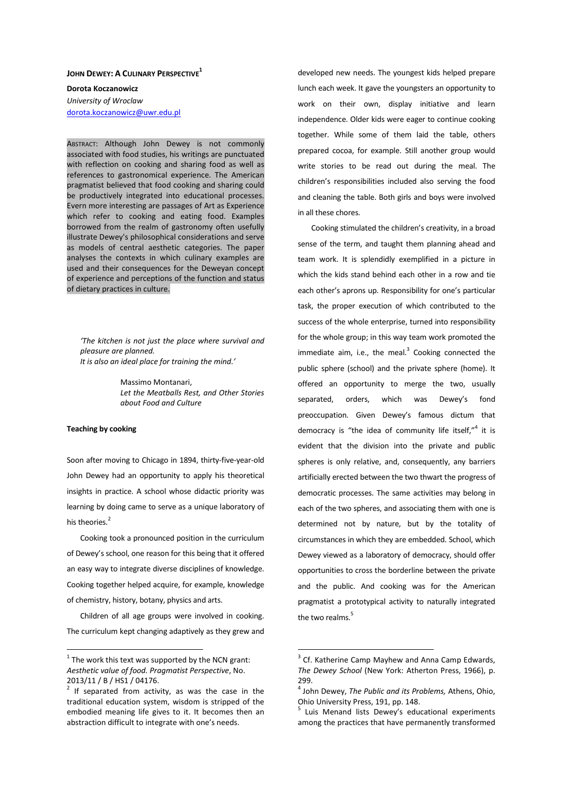## **JOHN DEWEY: A CULINARY PERSPECTIVE<sup>1</sup>**

**Dorota Koczanowicz**  *University of Wroclaw*  dorota.koczanowicz@uwr.edu.pl

ABSTRACT: Although John Dewey is not commonly associated with food studies, his writings are punctuated with reflection on cooking and sharing food as well as references to gastronomical experience. The American pragmatist believed that food cooking and sharing could be productively integrated into educational processes. Evern more interesting are passages of Art as Experience which refer to cooking and eating food. Examples borrowed from the realm of gastronomy often usefully illustrate Dewey's philosophical considerations and serve as models of central aesthetic categories. The paper analyses the contexts in which culinary examples are used and their consequences for the Deweyan concept of experience and perceptions of the function and status of dietary practices in culture.

*'The kitchen is not just the place where survival and pleasure are planned. It is also an ideal place for training the mind.'* 

> Massimo Montanari, *Let the Meatballs Rest, and Other Stories about Food and Culture*

## **Teaching by cooking**

 $\overline{a}$ 

Soon after moving to Chicago in 1894, thirty-five-year-old John Dewey had an opportunity to apply his theoretical insights in practice. A school whose didactic priority was learning by doing came to serve as a unique laboratory of his theories.<sup>2</sup>

Cooking took a pronounced position in the curriculum of Dewey's school, one reason for this being that it offered an easy way to integrate diverse disciplines of knowledge. Cooking together helped acquire, for example, knowledge of chemistry, history, botany, physics and arts.

Children of all age groups were involved in cooking. The curriculum kept changing adaptively as they grew and developed new needs. The youngest kids helped prepare lunch each week. It gave the youngsters an opportunity to work on their own, display initiative and learn independence. Older kids were eager to continue cooking together. While some of them laid the table, others prepared cocoa, for example. Still another group would write stories to be read out during the meal. The children's responsibilities included also serving the food and cleaning the table. Both girls and boys were involved in all these chores.

Cooking stimulated the children's creativity, in a broad sense of the term, and taught them planning ahead and team work. It is splendidly exemplified in a picture in which the kids stand behind each other in a row and tie each other's aprons up. Responsibility for one's particular task, the proper execution of which contributed to the success of the whole enterprise, turned into responsibility for the whole group; in this way team work promoted the immediate aim, i.e., the meal. $3$  Cooking connected the public sphere (school) and the private sphere (home). It offered an opportunity to merge the two, usually separated, orders, which was Dewey's fond preoccupation. Given Dewey's famous dictum that democracy is "the idea of community life itself,"<sup>4</sup> it is evident that the division into the private and public spheres is only relative, and, consequently, any barriers artificially erected between the two thwart the progress of democratic processes. The same activities may belong in each of the two spheres, and associating them with one is determined not by nature, but by the totality of circumstances in which they are embedded. School, which Dewey viewed as a laboratory of democracy, should offer opportunities to cross the borderline between the private and the public. And cooking was for the American pragmatist a prototypical activity to naturally integrated the two realms.<sup>5</sup>

 $1$  The work this text was supported by the NCN grant: *Aesthetic value of food. Pragmatist Perspective*, No. 2013/11 / B / HS1 / 04176.

 $2$  If separated from activity, as was the case in the traditional education system, wisdom is stripped of the embodied meaning life gives to it. It becomes then an abstraction difficult to integrate with one's needs.

 $3$  Cf. Katherine Camp Mayhew and Anna Camp Edwards, *The Dewey School* (New York: Atherton Press, 1966), p. 299.

<sup>4</sup> John Dewey, *The Public and its Problems,* Athens, Ohio, Ohio University Press, 191, pp. 148.

<sup>&</sup>lt;sup>5</sup> Luis Menand lists Dewey's educational experiments among the practices that have permanently transformed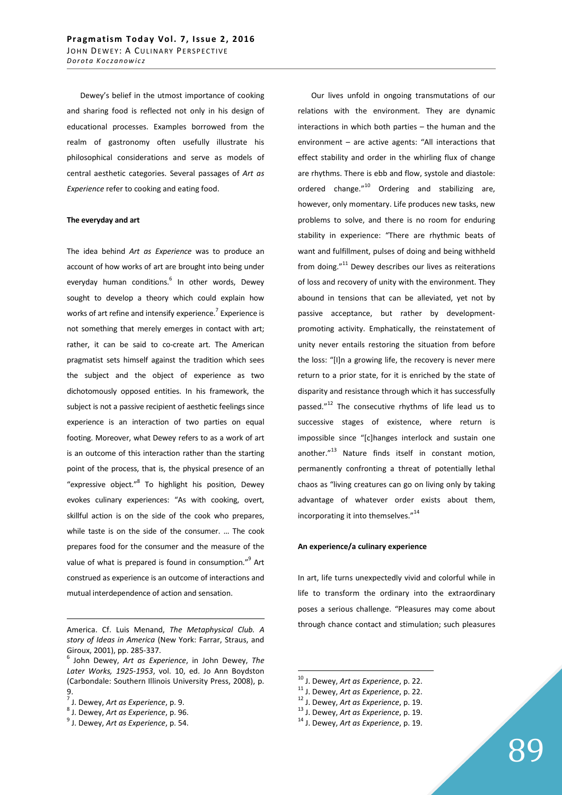Dewey's belief in the utmost importance of cooking and sharing food is reflected not only in his design of educational processes. Examples borrowed from the realm of gastronomy often usefully illustrate his philosophical considerations and serve as models of central aesthetic categories. Several passages of *Art as Experience* refer to cooking and eating food.

#### **The everyday and art**

The idea behind *Art as Experience* was to produce an account of how works of art are brought into being under everyday human conditions.<sup>6</sup> In other words, Dewey sought to develop a theory which could explain how works of art refine and intensify experience.<sup>7</sup> Experience is not something that merely emerges in contact with art; rather, it can be said to co-create art. The American pragmatist sets himself against the tradition which sees the subject and the object of experience as two dichotomously opposed entities. In his framework, the subject is not a passive recipient of aesthetic feelings since experience is an interaction of two parties on equal footing. Moreover, what Dewey refers to as a work of art is an outcome of this interaction rather than the starting point of the process, that is, the physical presence of an "expressive object."<sup>8</sup> To highlight his position, Dewey evokes culinary experiences: "As with cooking, overt, skillful action is on the side of the cook who prepares, while taste is on the side of the consumer. … The cook prepares food for the consumer and the measure of the value of what is prepared is found in consumption."<sup>9</sup> Art construed as experience is an outcome of interactions and mutual interdependence of action and sensation.

<u>.</u>

Our lives unfold in ongoing transmutations of our relations with the environment. They are dynamic interactions in which both parties – the human and the environment – are active agents: "All interactions that effect stability and order in the whirling flux of change are rhythms. There is ebb and flow, systole and diastole: ordered change."<sup>10</sup> Ordering and stabilizing are, however, only momentary. Life produces new tasks, new problems to solve, and there is no room for enduring stability in experience: "There are rhythmic beats of want and fulfillment, pulses of doing and being withheld from doing." $11$  Dewey describes our lives as reiterations of loss and recovery of unity with the environment. They abound in tensions that can be alleviated, yet not by passive acceptance, but rather by developmentpromoting activity. Emphatically, the reinstatement of unity never entails restoring the situation from before the loss: "[I]n a growing life, the recovery is never mere return to a prior state, for it is enriched by the state of disparity and resistance through which it has successfully passed."<sup>12</sup> The consecutive rhythms of life lead us to successive stages of existence, where return is impossible since "[c]hanges interlock and sustain one another."<sup>13</sup> Nature finds itself in constant motion, permanently confronting a threat of potentially lethal chaos as "living creatures can go on living only by taking advantage of whatever order exists about them, incorporating it into themselves."<sup>14</sup>

### **An experience/a culinary experience**

In art, life turns unexpectedly vivid and colorful while in life to transform the ordinary into the extraordinary poses a serious challenge. "Pleasures may come about through chance contact and stimulation; such pleasures

 $\overline{a}$ 

<sup>12</sup> J. Dewey, *Art as Experience*, p. 19.

America. Cf. Luis Menand, *The Metaphysical Club. A story of Ideas in America* (New York: Farrar, Straus, and Giroux, 2001), pp. 285-337.

<sup>6</sup> John Dewey, *Art as Experience*, in John Dewey, *The Later Works, 1925-1953*, vol. 10, ed. Jo Ann Boydston (Carbondale: Southern Illinois University Press, 2008), p. 9. 7 J. Dewey, *Art as Experience*, p. 9.

<sup>8</sup> J. Dewey, *Art as Experience*, p. 96.

<sup>9</sup> J. Dewey, *Art as Experience*, p. 54.

<sup>10</sup> J. Dewey, *Art as Experience*, p. 22.

<sup>11</sup> J. Dewey, *Art as Experience*, p. 22.

<sup>13</sup> J. Dewey, *Art as Experience*, p. 19.

<sup>14</sup> J. Dewey, *Art as Experience*, p. 19.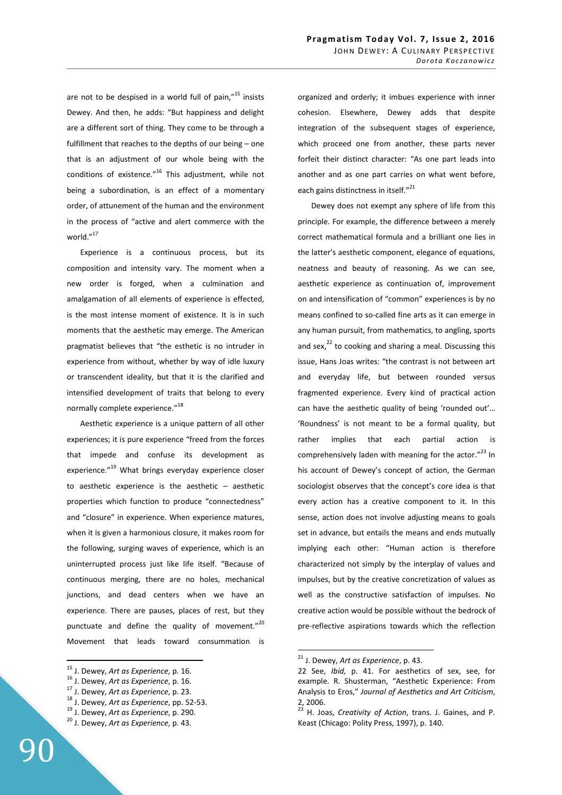are not to be despised in a world full of pain,"<sup>15</sup> insists Dewey. And then, he adds: "But happiness and delight are a different sort of thing. They come to be through a fulfillment that reaches to the depths of our being – one that is an adjustment of our whole being with the conditions of existence. $n^{16}$  This adjustment, while not being a subordination, is an effect of a momentary order, of attunement of the human and the environment in the process of "active and alert commerce with the world."<sup>17</sup>

Experience is a continuous process, but its composition and intensity vary. The moment when a new order is forged, when a culmination and amalgamation of all elements of experience is effected, is the most intense moment of existence. It is in such moments that the aesthetic may emerge. The American pragmatist believes that "the esthetic is no intruder in experience from without, whether by way of idle luxury or transcendent ideality, but that it is the clarified and intensified development of traits that belong to every normally complete experience."<sup>18</sup>

Aesthetic experience is a unique pattern of all other experiences; it is pure experience "freed from the forces that impede and confuse its development as experience."<sup>19</sup> What brings everyday experience closer to aesthetic experience is the aesthetic – aesthetic properties which function to produce "connectedness" and "closure" in experience. When experience matures, when it is given a harmonious closure, it makes room for the following, surging waves of experience, which is an uninterrupted process just like life itself. "Because of continuous merging, there are no holes, mechanical junctions, and dead centers when we have an experience. There are pauses, places of rest, but they punctuate and define the quality of movement." $20$ Movement that leads toward consummation is

 $\overline{a}$ 

organized and orderly; it imbues experience with inner cohesion. Elsewhere, Dewey adds that despite integration of the subsequent stages of experience, which proceed one from another, these parts never forfeit their distinct character: "As one part leads into another and as one part carries on what went before, each gains distinctness in itself."<sup>21</sup>

Dewey does not exempt any sphere of life from this principle. For example, the difference between a merely correct mathematical formula and a brilliant one lies in the latter's aesthetic component, elegance of equations, neatness and beauty of reasoning. As we can see, aesthetic experience as continuation of, improvement on and intensification of "common" experiences is by no means confined to so-called fine arts as it can emerge in any human pursuit, from mathematics, to angling, sports and sex, $^{22}$  to cooking and sharing a meal. Discussing this issue, Hans Joas writes: "the contrast is not between art and everyday life, but between rounded versus fragmented experience. Every kind of practical action can have the aesthetic quality of being 'rounded out'… 'Roundness' is not meant to be a formal quality, but rather implies that each partial action is comprehensively laden with meaning for the actor."<sup>23</sup> In his account of Dewey's concept of action, the German sociologist observes that the concept's core idea is that every action has a creative component to it. In this sense, action does not involve adjusting means to goals set in advance, but entails the means and ends mutually implying each other: "Human action is therefore characterized not simply by the interplay of values and impulses, but by the creative concretization of values as well as the constructive satisfaction of impulses. No creative action would be possible without the bedrock of pre-reflective aspirations towards which the reflection

<sup>15</sup> J. Dewey, *Art as Experience*, p. 16.

<sup>16</sup> J. Dewey, *Art as Experience*, p. 16.

<sup>17</sup> J. Dewey, *Art as Experience*, p. 23.

<sup>18</sup> J. Dewey, *Art as Experience*, pp. 52-53.

<sup>19</sup> J. Dewey, *Art as Experience*, p. 290.

<sup>20</sup> J. Dewey, *Art as Experience*, p. 43.

<sup>21</sup> J. Dewey, *Art as Experience*, p. 43.

<sup>22</sup> See, *Ibid,* p. 41. For aesthetics of sex, see, for example. R. Shusterman, "Aesthetic Experience: From Analysis to Eros," *Journal of Aesthetics and Art Criticism*, 2, 2006.

<sup>23</sup> H. Joas, *Creativity of Action*, trans. J. Gaines, and P. Keast (Chicago: Polity Press, 1997), p. 140.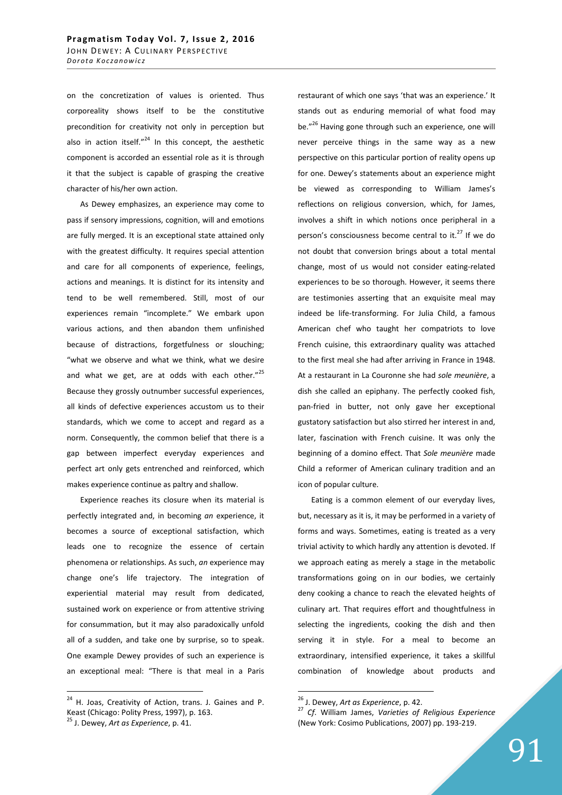on the concretization of values is oriented. Thus corporeality shows itself to be the constitutive precondition for creativity not only in perception but also in action itself. $n^{24}$  In this concept, the aesthetic component is accorded an essential role as it is through it that the subject is capable of grasping the creative character of his/her own action.

As Dewey emphasizes, an experience may come to pass if sensory impressions, cognition, will and emotions are fully merged. It is an exceptional state attained only with the greatest difficulty. It requires special attention and care for all components of experience, feelings, actions and meanings. It is distinct for its intensity and tend to be well remembered. Still, most of our experiences remain "incomplete." We embark upon various actions, and then abandon them unfinished because of distractions, forgetfulness or slouching; "what we observe and what we think, what we desire and what we get, are at odds with each other."<sup>25</sup> Because they grossly outnumber successful experiences, all kinds of defective experiences accustom us to their standards, which we come to accept and regard as a norm. Consequently, the common belief that there is a gap between imperfect everyday experiences and perfect art only gets entrenched and reinforced, which makes experience continue as paltry and shallow.

Experience reaches its closure when its material is perfectly integrated and, in becoming *an* experience, it becomes a source of exceptional satisfaction, which leads one to recognize the essence of certain phenomena or relationships. As such, *an* experience may change one's life trajectory. The integration of experiential material may result from dedicated, sustained work on experience or from attentive striving for consummation, but it may also paradoxically unfold all of a sudden, and take one by surprise, so to speak. One example Dewey provides of such an experience is an exceptional meal: "There is that meal in a Paris

 $\overline{a}$ 

restaurant of which one says 'that was an experience.' It stands out as enduring memorial of what food may be."<sup>26</sup> Having gone through such an experience, one will never perceive things in the same way as a new perspective on this particular portion of reality opens up for one. Dewey's statements about an experience might be viewed as corresponding to William James's reflections on religious conversion, which, for James, involves a shift in which notions once peripheral in a person's consciousness become central to it. $^{27}$  If we do not doubt that conversion brings about a total mental change, most of us would not consider eating-related experiences to be so thorough. However, it seems there are testimonies asserting that an exquisite meal may indeed be life-transforming. For Julia Child, a famous American chef who taught her compatriots to love French cuisine, this extraordinary quality was attached to the first meal she had after arriving in France in 1948. At a restaurant in La Couronne she had *sole meuniѐre*, a dish she called an epiphany. The perfectly cooked fish, pan-fried in butter, not only gave her exceptional gustatory satisfaction but also stirred her interest in and, later, fascination with French cuisine. It was only the beginning of a domino effect. That *Sole meuniѐre* made Child a reformer of American culinary tradition and an icon of popular culture.

Eating is a common element of our everyday lives, but, necessary as it is, it may be performed in a variety of forms and ways. Sometimes, eating is treated as a very trivial activity to which hardly any attention is devoted. If we approach eating as merely a stage in the metabolic transformations going on in our bodies, we certainly deny cooking a chance to reach the elevated heights of culinary art. That requires effort and thoughtfulness in selecting the ingredients, cooking the dish and then serving it in style. For a meal to become an extraordinary, intensified experience, it takes a skillful combination of knowledge about products and

<sup>&</sup>lt;sup>24</sup> H. Joas, Creativity of Action, trans. J. Gaines and P. Keast (Chicago: Polity Press, 1997), p. 163.

<sup>25</sup> J. Dewey, *Art as Experience*, p. 41.

<sup>26</sup> J. Dewey, *Art as Experience*, p. 42.

<sup>27</sup> *Cf*. William James, *Varieties of Religious Experience* (New York: Cosimo Publications, 2007) pp. 193-219.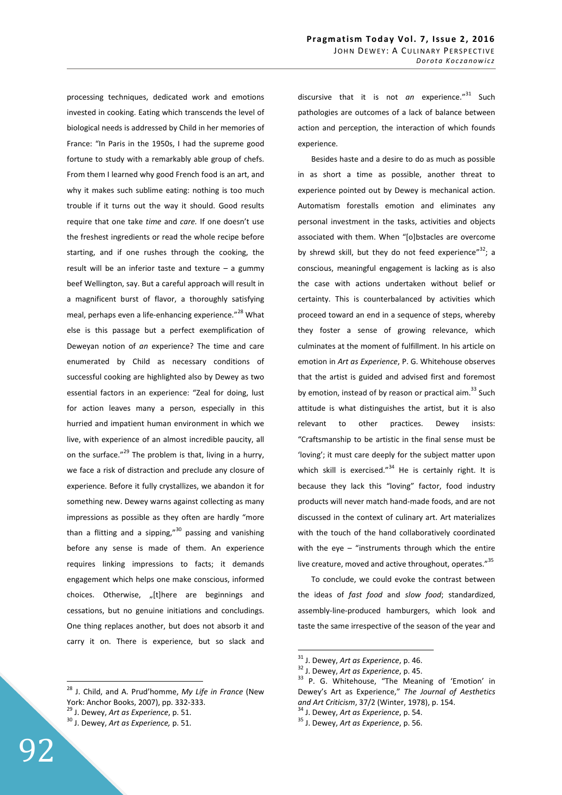processing techniques, dedicated work and emotions invested in cooking. Eating which transcends the level of biological needs is addressed by Child in her memories of France: "In Paris in the 1950s, I had the supreme good fortune to study with a remarkably able group of chefs. From them I learned why good French food is an art, and why it makes such sublime eating: nothing is too much trouble if it turns out the way it should. Good results require that one take *time* and *care.* If one doesn't use the freshest ingredients or read the whole recipe before starting, and if one rushes through the cooking, the result will be an inferior taste and texture – a gummy beef Wellington, say. But a careful approach will result in a magnificent burst of flavor, a thoroughly satisfying meal, perhaps even a life-enhancing experience."<sup>28</sup> What else is this passage but a perfect exemplification of Deweyan notion of *an* experience? The time and care enumerated by Child as necessary conditions of successful cooking are highlighted also by Dewey as two essential factors in an experience: "Zeal for doing, lust for action leaves many a person, especially in this hurried and impatient human environment in which we live, with experience of an almost incredible paucity, all on the surface." $^{29}$  The problem is that, living in a hurry, we face a risk of distraction and preclude any closure of experience. Before it fully crystallizes, we abandon it for something new. Dewey warns against collecting as many impressions as possible as they often are hardly "more than a flitting and a sipping," $30$  passing and vanishing before any sense is made of them. An experience requires linking impressions to facts; it demands engagement which helps one make conscious, informed choices. Otherwise, "[t]here are beginnings and cessations, but no genuine initiations and concludings. One thing replaces another, but does not absorb it and carry it on. There is experience, but so slack and

<sup>28</sup> J. Child, and A. Prud'homme, *My Life in France* (New York: Anchor Books, 2007), pp. 332-333.

discursive that it is not *an* experience."<sup>31</sup> Such pathologies are outcomes of a lack of balance between action and perception, the interaction of which founds experience.

Besides haste and a desire to do as much as possible in as short a time as possible, another threat to experience pointed out by Dewey is mechanical action. Automatism forestalls emotion and eliminates any personal investment in the tasks, activities and objects associated with them. When "[o]bstacles are overcome by shrewd skill, but they do not feed experience"<sup>32</sup>; a conscious, meaningful engagement is lacking as is also the case with actions undertaken without belief or certainty. This is counterbalanced by activities which proceed toward an end in a sequence of steps, whereby they foster a sense of growing relevance, which culminates at the moment of fulfillment. In his article on emotion in *Art as Experience*, P. G. Whitehouse observes that the artist is guided and advised first and foremost by emotion, instead of by reason or practical aim. $^{33}$  Such attitude is what distinguishes the artist, but it is also relevant to other practices. Dewey insists: "Craftsmanship to be artistic in the final sense must be 'loving'; it must care deeply for the subject matter upon which skill is exercised." $34$  He is certainly right. It is because they lack this "loving" factor, food industry products will never match hand-made foods, and are not discussed in the context of culinary art. Art materializes with the touch of the hand collaboratively coordinated with the eye  $-$  "instruments through which the entire live creature, moved and active throughout, operates." $^{35}$ 

To conclude, we could evoke the contrast between the ideas of *fast food* and *slow food*; standardized, assembly-line-produced hamburgers, which look and taste the same irrespective of the season of the year and

 $\overline{a}$ 

<sup>34</sup> J. Dewey, *Art as Experience*, p. 54.

<sup>29</sup> J. Dewey, *Art as Experience*, p. 51.

<sup>30</sup> J. Dewey, *Art as Experience,* p. 51.

<sup>31</sup> J. Dewey, *Art as Experience*, p. 46.

<sup>32</sup> J. Dewey, *Art as Experience*, p. 45.

<sup>&</sup>lt;sup>33</sup> P. G. Whitehouse, "The Meaning of 'Emotion' in Dewey's Art as Experience," *The Journal of Aesthetics and Art Criticism*, 37/2 (Winter, 1978), p. 154.

<sup>35</sup> J. Dewey, *Art as Experience*, p. 56.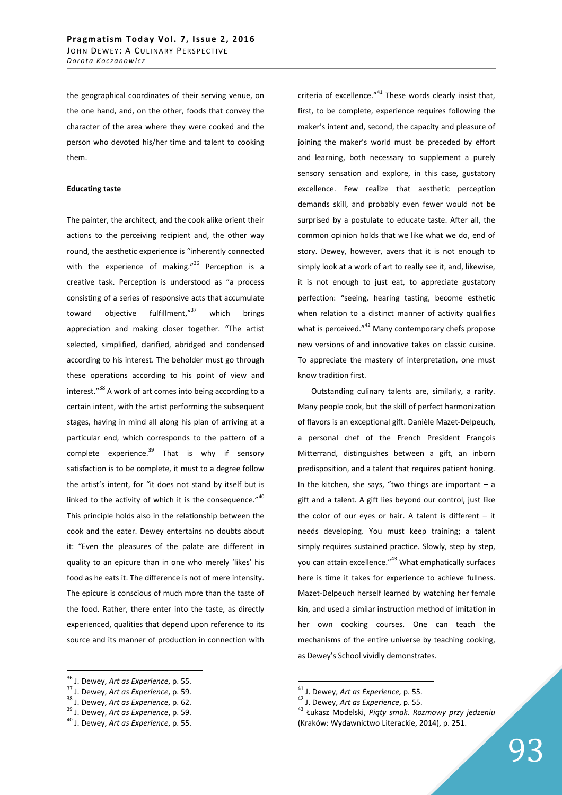the geographical coordinates of their serving venue, on the one hand, and, on the other, foods that convey the character of the area where they were cooked and the person who devoted his/her time and talent to cooking them.

#### **Educating taste**

The painter, the architect, and the cook alike orient their actions to the perceiving recipient and, the other way round, the aesthetic experience is "inherently connected with the experience of making."<sup>36</sup> Perception is a creative task. Perception is understood as "a process consisting of a series of responsive acts that accumulate toward objective fulfillment,"<sup>37</sup> which brings appreciation and making closer together. "The artist selected, simplified, clarified, abridged and condensed according to his interest. The beholder must go through these operations according to his point of view and interest."<sup>38</sup> A work of art comes into being according to a certain intent, with the artist performing the subsequent stages, having in mind all along his plan of arriving at a particular end, which corresponds to the pattern of a complete experience. $39$  That is why if sensory satisfaction is to be complete, it must to a degree follow the artist's intent, for "it does not stand by itself but is linked to the activity of which it is the consequence."40 This principle holds also in the relationship between the cook and the eater. Dewey entertains no doubts about it: "Even the pleasures of the palate are different in quality to an epicure than in one who merely 'likes' his food as he eats it. The difference is not of mere intensity. The epicure is conscious of much more than the taste of the food. Rather, there enter into the taste, as directly experienced, qualities that depend upon reference to its source and its manner of production in connection with

 $\overline{a}$ 

criteria of excellence. $141$  These words clearly insist that, first, to be complete, experience requires following the maker's intent and, second, the capacity and pleasure of joining the maker's world must be preceded by effort and learning, both necessary to supplement a purely sensory sensation and explore, in this case, gustatory excellence. Few realize that aesthetic perception demands skill, and probably even fewer would not be surprised by a postulate to educate taste. After all, the common opinion holds that we like what we do, end of story. Dewey, however, avers that it is not enough to simply look at a work of art to really see it, and, likewise, it is not enough to just eat, to appreciate gustatory perfection: "seeing, hearing tasting, become esthetic when relation to a distinct manner of activity qualifies what is perceived."<sup>42</sup> Many contemporary chefs propose new versions of and innovative takes on classic cuisine. To appreciate the mastery of interpretation, one must know tradition first.

Outstanding culinary talents are, similarly, a rarity. Many people cook, but the skill of perfect harmonization of flavors is an exceptional gift. Danièle Mazet-Delpeuch, a personal chef of the French President François Mitterrand, distinguishes between a gift, an inborn predisposition, and a talent that requires patient honing. In the kitchen, she says, "two things are important  $-$  a gift and a talent. A gift lies beyond our control, just like the color of our eyes or hair. A talent is different  $-$  it needs developing. You must keep training; a talent simply requires sustained practice. Slowly, step by step, you can attain excellence."<sup>43</sup> What emphatically surfaces here is time it takes for experience to achieve fullness. Mazet-Delpeuch herself learned by watching her female kin, and used a similar instruction method of imitation in her own cooking courses. One can teach the mechanisms of the entire universe by teaching cooking, as Dewey's School vividly demonstrates.

<sup>36</sup> J. Dewey, *Art as Experience*, p. 55.

<sup>37</sup> J. Dewey, *Art as Experience*, p. 59.

<sup>38</sup> J. Dewey, *Art as Experience*, p. 62.

<sup>39</sup> J. Dewey, *Art as Experience*, p. 59.

<sup>40</sup> J. Dewey, *Art as Experience*, p. 55.

<sup>41</sup> J. Dewey, *Art as Experience,* p. 55.

<sup>42</sup> J. Dewey, *Art as Experience*, p. 55.

<sup>43</sup> Łukasz Modelski, *Piąty smak. Rozmowy przy jedzeniu* (Kraków: Wydawnictwo Literackie, 2014), p. 251.